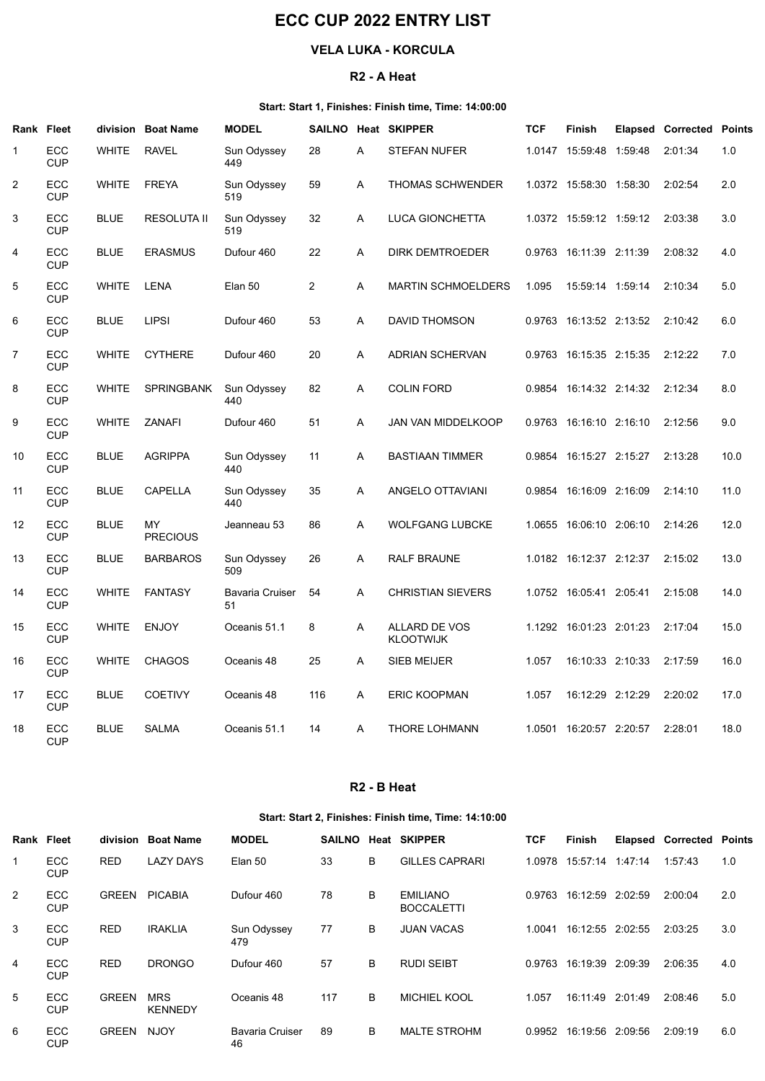# ECC CUP 2022 ENTRY LIST

# VELA LUKA - KORCULA

#### R2 - A Heat

## Start: Start 1, Finishes: Finish time, Time: 14:00:00

|                | <b>ECC CUP 2022 ENTRY LIST</b>                        |                            |                       |                          |                |                         |                                                                              |            |                                 |         |                                 |      |
|----------------|-------------------------------------------------------|----------------------------|-----------------------|--------------------------|----------------|-------------------------|------------------------------------------------------------------------------|------------|---------------------------------|---------|---------------------------------|------|
|                |                                                       | <b>VELA LUKA - KORCULA</b> |                       |                          |                |                         |                                                                              |            |                                 |         |                                 |      |
|                |                                                       |                            |                       |                          |                | R <sub>2</sub> - A Heat |                                                                              |            |                                 |         |                                 |      |
|                | Rank Fleet                                            |                            | division Boat Name    | <b>MODEL</b>             |                |                         | Start: Start 1, Finishes: Finish time, Time: 14:00:00<br>SAILNO Heat SKIPPER | <b>TCF</b> | Finish                          |         | <b>Elapsed Corrected Points</b> |      |
|                | ECC<br><b>CUP</b>                                     | <b>WHITE</b>               | <b>RAVEL</b>          | Sun Odyssey<br>449       | 28             | A                       | <b>STEFAN NUFER</b>                                                          |            | 1.0147 15:59:48                 | 1:59:48 | 2:01:34                         | 1.0  |
| $\overline{2}$ | ECC<br><b>CUP</b>                                     | <b>WHITE</b>               | <b>FREYA</b>          | Sun Odyssey<br>519       | 59             | A                       | THOMAS SCHWENDER                                                             |            | 1.0372 15:58:30 1:58:30         |         | 2:02:54                         | 2.0  |
| 3              | ECC<br><b>CUP</b>                                     | <b>BLUE</b>                | RESOLUTA II           | Sun Odyssey<br>519       | 32             | A                       | LUCA GIONCHETTA                                                              |            | 1.0372  15:59:12  1:59:12       |         | 2:03:38                         | 3.0  |
| 4              | ECC<br><b>CUP</b>                                     | <b>BLUE</b>                | <b>ERASMUS</b>        | Dufour 460               | 22             | A                       | DIRK DEMTROEDER                                                              |            | 0.9763 16:11:39 2:11:39         |         | 2:08:32                         | 4.0  |
| 5              | ECC<br><b>CUP</b>                                     | <b>WHITE</b>               | LENA                  | Elan 50                  | $\overline{2}$ | A                       | <b>MARTIN SCHMOELDERS</b>                                                    | 1.095      | 15:59:14 1:59:14                |         | 2:10:34                         | 5.0  |
| 6              | ECC<br>CUP                                            | <b>BLUE</b>                | <b>LIPSI</b>          | Dufour 460               | 53             | A                       | <b>DAVID THOMSON</b>                                                         | 0.9763     | 16:13:52 2:13:52                |         | 2:10:42                         | 6.0  |
| $\overline{7}$ | ECC<br><b>CUP</b>                                     | WHITE                      | CYTHERE               | Dufour 460               | 20             | A                       | ADRIAN SCHERVAN                                                              |            | 0.9763 16:15:35 2:15:35 2:12:22 |         |                                 | 7.0  |
| 8              | ECC<br><b>CUP</b>                                     | <b>WHITE</b>               | SPRINGBANK            | Sun Odyssey<br>440       | 82             | A                       | <b>COLIN FORD</b>                                                            |            | 0.9854 16:14:32 2:14:32         |         | 2:12:34                         | 8.0  |
| 9              | ECC<br><b>CUP</b>                                     | WHITE                      | ZANAFI                | Dufour 460               | 51             | A                       | JAN VAN MIDDELKOOP                                                           |            | 0.9763 16:16:10 2:16:10         |         | 2:12:56                         | 9.0  |
| 10             | ECC<br><b>CUP</b>                                     | <b>BLUE</b>                | <b>AGRIPPA</b>        | Sun Odyssey<br>440       | 11             | A                       | <b>BASTIAAN TIMMER</b>                                                       |            | 0.9854 16:15:27 2:15:27 2:13:28 |         |                                 | 10.0 |
| 11             | ECC<br><b>CUP</b>                                     | <b>BLUE</b>                | CAPELLA               | Sun Odyssey<br>440       | 35             | A                       | ANGELO OTTAVIANI                                                             |            | 0.9854 16:16:09 2:16:09         |         | 2:14:10                         | 11.0 |
| 12             | ECC<br><b>CUP</b>                                     | <b>BLUE</b>                | MY<br><b>PRECIOUS</b> | Jeanneau 53              | 86             | A                       | <b>WOLFGANG LUBCKE</b>                                                       |            | 1.0655 16:06:10 2:06:10 2:14:26 |         |                                 | 12.0 |
| 13             | ECC<br><b>CUP</b>                                     | <b>BLUE</b>                | <b>BARBAROS</b>       | Sun Odyssey<br>509       | 26             | A                       | RALF BRAUNE                                                                  |            | 1.0182 16:12:37 2:12:37         |         | 2:15:02                         | 13.0 |
| 14             | ECC<br><b>CUP</b>                                     | <b>WHITE</b>               | FANTASY               | Bavaria Cruiser 54<br>51 |                | A                       | <b>CHRISTIAN SIEVERS</b>                                                     |            | 1.0752 16:05:41 2:05:41         |         | 2:15:08                         | 14.0 |
| 15             | ECC<br><b>CUP</b>                                     | <b>WHITE</b>               | <b>ENJOY</b>          | Oceanis 51.1             | 8              | A                       | ALLARD DE VOS<br><b>KLOOTWIJK</b>                                            |            | 1.1292 16:01:23 2:01:23 2:17:04 |         |                                 | 15.0 |
| 16             | ECC<br><b>CUP</b>                                     | <b>WHITE</b>               | <b>CHAGOS</b>         | Oceanis 48               | 25             | A                       | SIEB MEIJER                                                                  | 1.057      | 16:10:33 2:10:33                |         | 2:17:59                         | 16.0 |
| 17             | ECC<br><b>CUP</b>                                     | <b>BLUE</b>                | COETIVY               | Oceanis 48               | 116            | A                       | ERIC KOOPMAN                                                                 | 1.057      | 16:12:29 2:12:29                |         | 2:20:02                         | 17.0 |
| 18             | ECC<br><b>CUP</b>                                     | <b>BLUE</b>                | SALMA                 | Oceanis 51.1             | 14             | A                       | THORE LOHMANN                                                                | 1.0501     | 16:20:57 2:20:57                |         | 2:28:01                         | 18.0 |
|                |                                                       |                            |                       |                          |                | R <sub>2</sub> - B Heat |                                                                              |            |                                 |         |                                 |      |
|                | Start: Start 2, Finishes: Finish time, Time: 14:10:00 |                            |                       |                          |                |                         |                                                                              |            |                                 |         |                                 |      |
|                | <b>Rank Fleet</b>                                     |                            | division Boat Name    | <b>TCF</b>               | Finish         |                         | <b>Elapsed Corrected Points</b>                                              |            |                                 |         |                                 |      |
| -1             | ECC<br><b>CUP</b>                                     | <b>RED</b>                 | <b>LAZY DAYS</b>      | Elan 50                  | 33             | В                       | SAILNO Heat SKIPPER<br><b>GILLES CAPRARI</b>                                 |            | 1.0978 15:57:14 1.47:14 1:57:43 |         |                                 | 1.0  |
| $\overline{2}$ | ECC<br><b>CUP</b>                                     |                            | GREEN PICABIA         | Dufour 460               | 78             | В                       | <b>EMILIANO</b><br><b>BOCCALETTI</b>                                         |            | 0.9763 16:12:59 2:02:59         |         | 2:00:04                         | 2.0  |
| 3              | ECC<br><b>CUP</b>                                     | <b>RED</b>                 | <b>IRAKLIA</b>        | Sun Odyssey<br>479       | 77             | В                       | <b>JUAN VACAS</b>                                                            |            | 1.0041 16:12:55 2:02:55 2:03:25 |         |                                 | 3.0  |
| 4              | ECC                                                   | RED                        | <b>DRONGO</b>         | Dufour 460               | 57             | B                       | <b>RUDI SEIBT</b>                                                            |            | 0.9763 16:19:39 2:09:39 2:06:35 |         |                                 | 4.0  |

# R2 - B Heat

## Start: Start 2, Finishes: Finish time, Time: 14:10:00

|                   | <b>CUP</b>        |              | WHILE FANIASY      | <b>Bavaria Cruiser</b><br>51 | - 54 | $\mathsf{A}$            | <b>UHRISTIAIN SIEVERS</b>            |            | $1.0752$ $10.0541$ $2.0541$     | Z.15.06                         | 14.U |
|-------------------|-------------------|--------------|--------------------|------------------------------|------|-------------------------|--------------------------------------|------------|---------------------------------|---------------------------------|------|
| 15                | ECC<br><b>CUP</b> | <b>WHITE</b> | <b>ENJOY</b>       | Oceanis 51.1                 | 8    | $\mathsf{A}$            | ALLARD DE VOS<br><b>KLOOTWIJK</b>    |            | 1.1292 16:01:23 2:01:23 2:17:04 |                                 | 15.0 |
| 16                | ECC<br><b>CUP</b> | <b>WHITE</b> | CHAGOS             | Oceanis 48                   | 25   | $\mathsf{A}$            | <b>SIEB MEIJER</b>                   | 1.057      | 16:10:33 2:10:33                | 2:17:59                         | 16.0 |
| 17                | ECC<br><b>CUP</b> | <b>BLUE</b>  | <b>COETIVY</b>     | Oceanis 48                   | 116  | $\mathsf{A}$            | <b>ERIC KOOPMAN</b>                  | 1.057      | 16:12:29 2:12:29                | 2:20:02                         | 17.0 |
| 18                | ECC<br><b>CUP</b> | <b>BLUE</b>  | SALMA              | Oceanis 51.1                 | 14   | $\mathsf{A}$            | THORE LOHMANN                        | 1.0501     | 16:20:57 2:20:57                | 2:28:01                         | 18.0 |
|                   |                   |              |                    |                              |      | R <sub>2</sub> - B Heat |                                      |            |                                 |                                 |      |
|                   |                   |              |                    |                              |      |                         |                                      |            |                                 |                                 |      |
| <b>Rank Fleet</b> |                   |              | division Boat Name | <b>MODEL</b>                 |      |                         | SAILNO Heat SKIPPER                  | <b>TCF</b> | Finish                          | <b>Elapsed Corrected Points</b> |      |
| $\mathbf 1$       | ECC<br><b>CUP</b> | <b>RED</b>   | <b>LAZY DAYS</b>   | Elan 50                      | 33   | В                       | <b>GILLES CAPRARI</b>                |            | 1.0978  15:57:14  1:47:14       | 1:57:43                         | 1.0  |
| $\overline{2}$    | ECC<br><b>CUP</b> |              | GREEN PICABIA      | Dufour 460                   | 78   | B                       | <b>EMILIANO</b><br><b>BOCCALETTI</b> |            | 0.9763 16:12:59 2:02:59         | 2:00:04                         | 2.0  |
| 3                 | ECC<br><b>CUP</b> | <b>RED</b>   | <b>IRAKLIA</b>     | Sun Odyssey<br>479           | 77   | B                       | <b>JUAN VACAS</b>                    | 1.0041     | 16:12:55 2:02:55                | 2:03:25                         | 3.0  |
| 4                 | ECC<br><b>CUP</b> | <b>RED</b>   | <b>DRONGO</b>      | Dufour 460                   | 57   | В                       | <b>RUDI SEIBT</b>                    |            | 0.9763 16:19:39 2:09:39         | 2:06:35                         | 4.0  |
| $5\phantom{.0}$   | ECC<br><b>CUP</b> | GREEN MRS    | <b>KENNEDY</b>     | Oceanis 48                   | 117  | B                       | MICHIEL KOOL                         | 1.057      | 16:11:49 2:01:49                | 2:08:46                         | 5.0  |
| 6                 | ECC<br><b>CUP</b> | GREEN NJOY   |                    | <b>Bavaria Cruiser</b><br>46 | 89   | В                       | <b>MALTE STROHM</b>                  |            | 0.9952 16:19:56 2:09:56         | 2:09:19                         | 6.0  |
|                   |                   |              |                    |                              |      |                         |                                      |            |                                 |                                 |      |